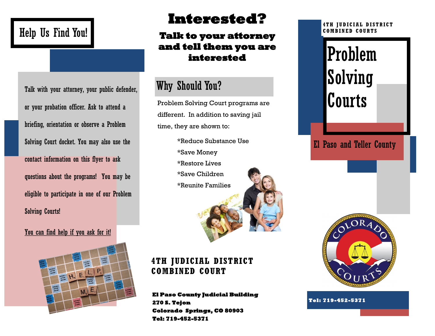## Help Us Find You!

Talk with your attorney, your public defender, or your probation officer. Ask to attend a briefing, orientation or observe a Problem Solving Court docket. You may also use the contact information on this flyer to ask questions about the programs! You may be eligible to participate in one of our Problem Solving Courts!

#### You can find help if you ask for it!



## **Interested?**

#### **Talk to your attorney and tell them you are interested**

### Why Should You?

Problem Solving Court programs are different. In addition to saving jail time, they are shown to:

> \*Reduce Substance Use \*Save Money \*Restore Lives \*Save Children \*Reunite Families



**4TH JUDICIAL DISTRICT COMBINED COURT**

**El Paso County Judicial Building 270 S. Tejon Colorado Springs, CO 80903 Tel: 719-452-5371** 

#### **4TH JUDICIAL DISTRIC T COMBINED COURTS**

# Problem Solving Courts

El Paso and Teller County



**Tel: 719-452-5371**